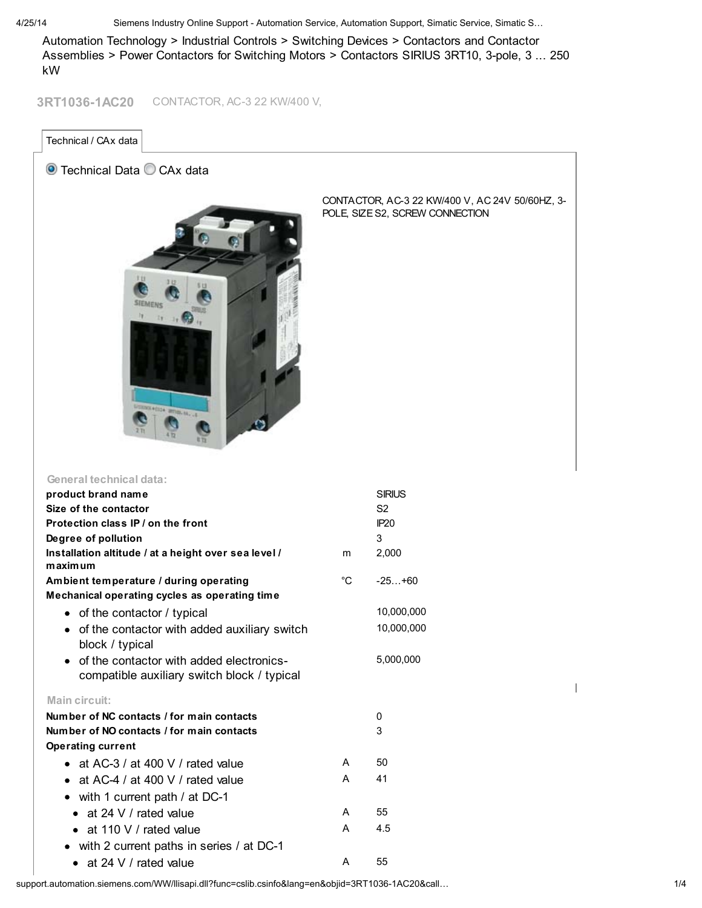4/25/14 Siemens Industry Online Support - Automation Service, Automation Support, Simatic Service, Simatic S…

Automation Technology > Industrial Controls > Switching Devices > Contactors and Contactor Assemblies > Power Contactors for Switching Motors > Contactors SIRIUS 3RT10, 3-pole, 3 ... 250 kW

3RT1036-1AC20 CONTACTOR, AC-3 22 KW/400 V,

Technical / CAx data

## O Technical Data C CAx data



CONTACTOR, AC-3 22 KW/400 V, AC 24V 50/60HZ, 3- POLE, SIZE S2, SCREW CONNECTION

| General technical data:                                                                              |             |                |
|------------------------------------------------------------------------------------------------------|-------------|----------------|
| product brand name                                                                                   |             | <b>SIRIUS</b>  |
| Size of the contactor                                                                                |             | S <sub>2</sub> |
| Protection class IP / on the front                                                                   |             | IP20           |
| Degree of pollution                                                                                  |             | 3              |
| Installation altitude / at a height over sea level /                                                 | m           | 2,000          |
| maximum                                                                                              |             |                |
| Ambient temperature / during operating                                                               | $^{\circ}C$ | $-25+60$       |
| Mechanical operating cycles as operating time                                                        |             |                |
| • of the contactor / typical                                                                         |             | 10,000,000     |
| • of the contactor with added auxiliary switch<br>block / typical                                    |             | 10,000,000     |
| of the contactor with added electronics-<br>$\bullet$<br>compatible auxiliary switch block / typical |             | 5,000,000      |
| Main circuit:                                                                                        |             |                |
| Number of NC contacts / for main contacts                                                            |             | 0              |
| Number of NO contacts / for main contacts                                                            |             | 3              |
| <b>Operating current</b>                                                                             |             |                |
| • at AC-3 / at 400 V / rated value                                                                   | A           | 50             |
| • at AC-4 / at 400 V / rated value                                                                   | A           | 41             |
| • with 1 current path / at DC-1                                                                      |             |                |
| $\bullet$ at 24 V / rated value                                                                      | A           | 55             |
| $\bullet$ at 110 V / rated value                                                                     | A           | 4.5            |
| • with 2 current paths in series / at DC-1                                                           |             |                |
| • at 24 V / rated value                                                                              | A           | 55             |

support.automation.siemens.com/WW/llisapi.dll?func=cslib.csinfo&lang=en&objid=3RT1036-1AC20&call… 1/4

 $\overline{\phantom{a}}$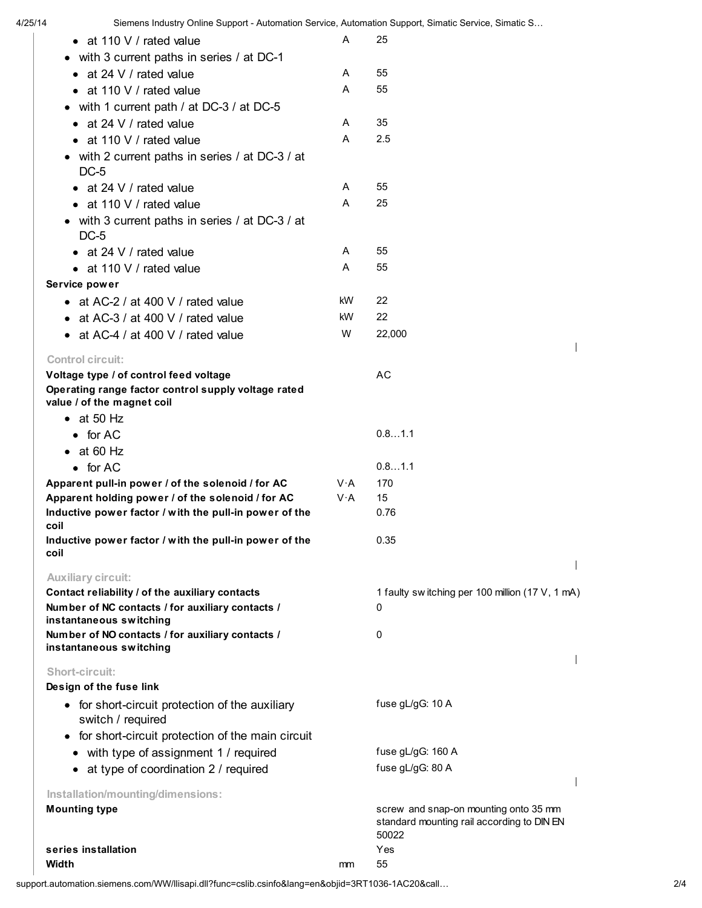4/25/14 Siemens Industry Online Support - Automation Service, Automation Support, Simatic Service, Simatic S… • at 110 V / rated value A 25 • with 3 current paths in series / at DC-1 • at 24 V / rated value A 55 • at 110 V / rated value A 55 with 1 current path / at DC-3 / at DC-5 • at 24 V / rated value A 35 • at 110 V / rated value A 2.5 with 2 current paths in series / at DC-3 / at DC-5 • at 24 V / rated value A 55 • at 110 V / rated value A 25 with 3 current paths in series / at DC-3 / at DC-5 • at 24 V / rated value A 55 • at 110 V / rated value A 55 Service power • at AC-2 / at 400 V / rated value  $kW$  22 • at AC-3 / at 400 V / rated value kW 22 • at AC-4 / at 400 V / rated value  $W = 22,000$  $\overline{\phantom{a}}$ Control circuit: Voltage type / of control feed voltage Manuscriptum AC Operating range factor control supply voltage rated value / of the magnet coil  $\bullet$  at 50 Hz for  $AC$  0.8...1.1  $\bullet$  at 60 Hz for  $AC$  0.8…1.1 Apparent pull-in power / of the solenoid / for AC V·A 170 Apparent holding power / of the solenoid / for AC V·A 15 Inductive power factor / with the pull-in power of the 0.76 coil Inductive power factor / with the pull-in power of the 0.35 coil  $\overline{\phantom{a}}$ Auxiliary circuit: Contact reliability / of the auxiliary contacts 1 faulty sw itching per 100 million (17 V, 1 mA) Number of NC contacts / for auxiliary contacts /  $\Omega$ instantaneous switching Number of NO contacts / for auxiliary contacts /  $\Omega$ instantaneous switching I Short-circuit: Design of the fuse link fuse gL/gG: 10 A • for short-circuit protection of the auxiliary switch / required • for short-circuit protection of the main circuit • with type of assignment 1 / required fuse gL/gG: 160 A • at type of coordination 2 / required fuse gL/gG: 80 A  $\overline{\phantom{a}}$ Installation/mounting/dimensions: Mounting type screw and snap-on mounting onto 35 mm standard mounting rail according to DIN EN 50022 series installation **Yes** 

Width mm 55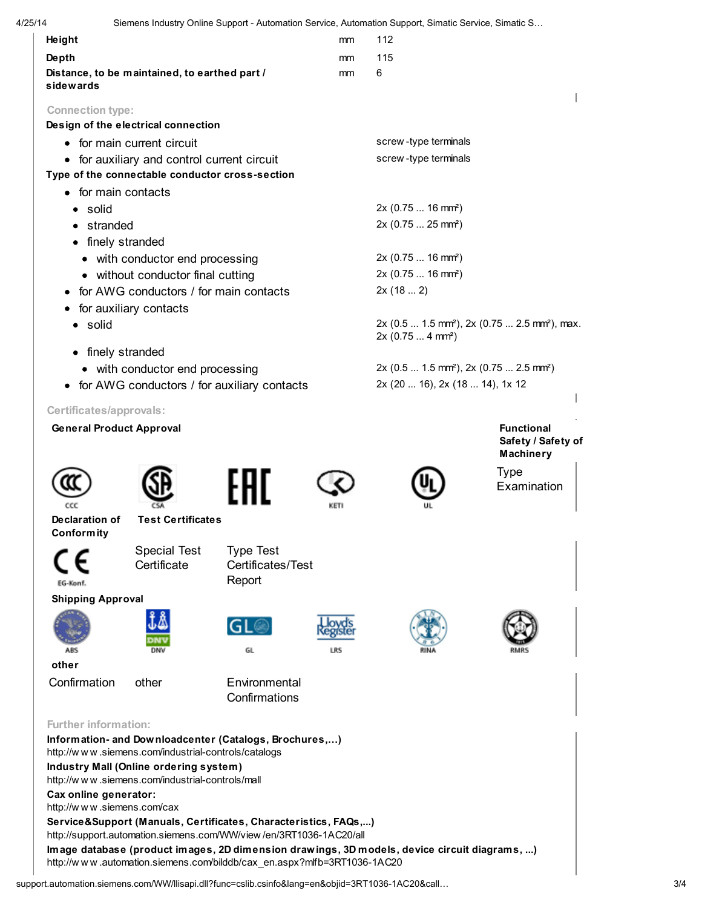|                                                                             |                                                                                                |                                                        |                                 | Siemens Industry Online Support - Automation Service, Automation Support, Simatic Service, Simatic S   |                                                |  |
|-----------------------------------------------------------------------------|------------------------------------------------------------------------------------------------|--------------------------------------------------------|---------------------------------|--------------------------------------------------------------------------------------------------------|------------------------------------------------|--|
| Height                                                                      |                                                                                                |                                                        | mm                              | 112                                                                                                    |                                                |  |
| Depth                                                                       |                                                                                                |                                                        | mm                              | 115                                                                                                    |                                                |  |
| sidewards                                                                   | Distance, to be maintained, to earthed part /                                                  |                                                        | mm                              | 6                                                                                                      |                                                |  |
| <b>Connection type:</b>                                                     |                                                                                                |                                                        |                                 |                                                                                                        |                                                |  |
|                                                                             | Design of the electrical connection                                                            |                                                        |                                 |                                                                                                        |                                                |  |
|                                                                             | for main current circuit                                                                       |                                                        |                                 | screw-type terminals                                                                                   |                                                |  |
|                                                                             | • for auxiliary and control current circuit<br>Type of the connectable conductor cross-section |                                                        |                                 | screw-type terminals                                                                                   |                                                |  |
| • for main contacts                                                         |                                                                                                |                                                        |                                 |                                                                                                        |                                                |  |
| · solid                                                                     |                                                                                                |                                                        |                                 | $2x (0.75  16 mm^2)$                                                                                   |                                                |  |
| stranded                                                                    |                                                                                                |                                                        |                                 | 2x (0.75  25 mm <sup>2</sup> )                                                                         |                                                |  |
| • finely stranded                                                           |                                                                                                |                                                        |                                 |                                                                                                        |                                                |  |
|                                                                             |                                                                                                |                                                        |                                 | 2x (0.75  16 mm <sup>2</sup> )                                                                         |                                                |  |
| • with conductor end processing                                             |                                                                                                |                                                        |                                 | 2x (0.75  16 mm <sup>2</sup> )                                                                         |                                                |  |
| • without conductor final cutting<br>for AWG conductors / for main contacts |                                                                                                |                                                        | 2x(182)                         |                                                                                                        |                                                |  |
|                                                                             |                                                                                                |                                                        |                                 |                                                                                                        |                                                |  |
| • for auxiliary contacts<br>• solid                                         |                                                                                                |                                                        |                                 | 2x (0.5  1.5 mm <sup>2</sup> ), 2x (0.75  2.5 mm <sup>2</sup> ), max.<br>2x (0.75  4 mm <sup>2</sup> ) |                                                |  |
| • finely stranded                                                           |                                                                                                |                                                        |                                 |                                                                                                        |                                                |  |
|                                                                             | • with conductor end processing                                                                |                                                        |                                 | 2x (0.5  1.5 mm <sup>2</sup> ), 2x (0.75  2.5 mm <sup>2</sup> )                                        |                                                |  |
| • for AWG conductors / for auxiliary contacts                               |                                                                                                |                                                        | 2x (20  16), 2x (18  14), 1x 12 |                                                                                                        |                                                |  |
| Certificates/approvals:                                                     |                                                                                                |                                                        |                                 |                                                                                                        |                                                |  |
| <b>General Product Approval</b>                                             |                                                                                                |                                                        |                                 |                                                                                                        | <b>Functional</b>                              |  |
|                                                                             |                                                                                                |                                                        |                                 |                                                                                                        | Safety / Safety of                             |  |
|                                                                             |                                                                                                |                                                        |                                 |                                                                                                        | <b>Machinery</b><br><b>Type</b><br>Examination |  |
| ccc<br>Declaration of                                                       | <b>Test Certificates</b>                                                                       |                                                        |                                 |                                                                                                        |                                                |  |
| <b>Conformity</b>                                                           |                                                                                                |                                                        |                                 |                                                                                                        |                                                |  |
|                                                                             | <b>Special Test</b>                                                                            | <b>Type Test</b>                                       |                                 |                                                                                                        |                                                |  |
|                                                                             | Certificate                                                                                    | Certificates/Test                                      |                                 |                                                                                                        |                                                |  |
| EG-Konf.                                                                    |                                                                                                | Report                                                 |                                 |                                                                                                        |                                                |  |
| <b>Shipping Approval</b>                                                    |                                                                                                |                                                        |                                 |                                                                                                        |                                                |  |
|                                                                             |                                                                                                | Gl                                                     |                                 |                                                                                                        |                                                |  |
|                                                                             |                                                                                                |                                                        |                                 |                                                                                                        |                                                |  |
|                                                                             | DNV                                                                                            | GL                                                     |                                 |                                                                                                        |                                                |  |
| other                                                                       |                                                                                                |                                                        |                                 |                                                                                                        |                                                |  |
| Confirmation                                                                | other                                                                                          | Environmental<br>Confirmations                         |                                 |                                                                                                        |                                                |  |
|                                                                             |                                                                                                |                                                        |                                 |                                                                                                        |                                                |  |
|                                                                             | http://www.siemens.com/industrial-controls/catalogs                                            | Information- and Downloadcenter (Catalogs, Brochures,) |                                 |                                                                                                        |                                                |  |
|                                                                             | Industry Mall (Online ordering system)                                                         |                                                        |                                 |                                                                                                        |                                                |  |
| <b>Further information:</b>                                                 | http://www.siemens.com/industrial-controls/mall                                                |                                                        |                                 |                                                                                                        |                                                |  |
| Cax online generator:<br>http://www.siemens.com/cax                         |                                                                                                |                                                        |                                 |                                                                                                        |                                                |  |

support.automation.siemens.com/WW/llisapi.dll?func=cslib.csinfo&lang=en&objid=3RT1036-1AC20&call… 3/4

http://w w w .automation.siemens.com/bilddb/cax\_en.aspx?mlfb=3RT1036-1AC20

Image database (product images, 2D dimension drawings, 3D models, device circuit diagrams, ...)